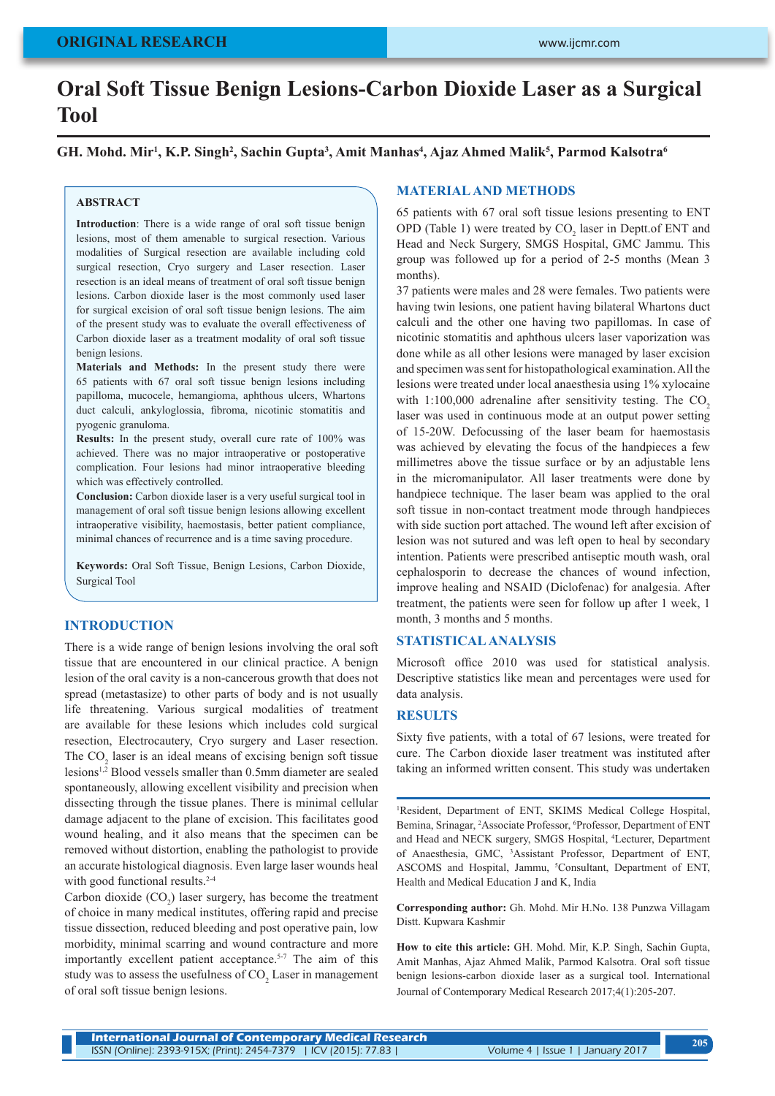# **Oral Soft Tissue Benign Lesions-Carbon Dioxide Laser as a Surgical Tool**

 $GH.$  Mohd. Mir<sup>1</sup>, K.P. Singh<sup>2</sup>, Sachin Gupta<sup>3</sup>, Amit Manhas<sup>4</sup>, Ajaz Ahmed Malik<sup>5</sup>, Parmod Kalsotra<sup>6</sup>

### **ABSTRACT**

**Introduction**: There is a wide range of oral soft tissue benign lesions, most of them amenable to surgical resection. Various modalities of Surgical resection are available including cold surgical resection, Cryo surgery and Laser resection. Laser resection is an ideal means of treatment of oral soft tissue benign lesions. Carbon dioxide laser is the most commonly used laser for surgical excision of oral soft tissue benign lesions. The aim of the present study was to evaluate the overall effectiveness of Carbon dioxide laser as a treatment modality of oral soft tissue benign lesions.

**Materials and Methods:** In the present study there were 65 patients with 67 oral soft tissue benign lesions including papilloma, mucocele, hemangioma, aphthous ulcers, Whartons duct calculi, ankyloglossia, fibroma, nicotinic stomatitis and pyogenic granuloma.

**Results:** In the present study, overall cure rate of 100% was achieved. There was no major intraoperative or postoperative complication. Four lesions had minor intraoperative bleeding which was effectively controlled.

**Conclusion:** Carbon dioxide laser is a very useful surgical tool in management of oral soft tissue benign lesions allowing excellent intraoperative visibility, haemostasis, better patient compliance, minimal chances of recurrence and is a time saving procedure.

**Keywords:** Oral Soft Tissue, Benign Lesions, Carbon Dioxide, Surgical Tool

# **INTRODUCTION**

There is a wide range of benign lesions involving the oral soft tissue that are encountered in our clinical practice. A benign lesion of the oral cavity is a non-cancerous growth that does not spread (metastasize) to other parts of body and is not usually life threatening. Various surgical modalities of treatment are available for these lesions which includes cold surgical resection, Electrocautery, Cryo surgery and Laser resection. The  $CO<sub>2</sub>$  laser is an ideal means of excising benign soft tissue lesions1,2 Blood vessels smaller than 0.5mm diameter are sealed spontaneously, allowing excellent visibility and precision when dissecting through the tissue planes. There is minimal cellular damage adjacent to the plane of excision. This facilitates good wound healing, and it also means that the specimen can be removed without distortion, enabling the pathologist to provide an accurate histological diagnosis. Even large laser wounds heal with good functional results.<sup>2-4</sup>

Carbon dioxide  $(CO_2)$  laser surgery, has become the treatment of choice in many medical institutes, offering rapid and precise tissue dissection, reduced bleeding and post operative pain, low morbidity, minimal scarring and wound contracture and more importantly excellent patient acceptance.5-7 The aim of this study was to assess the usefulness of  $\mathrm{CO}_2$  Laser in management of oral soft tissue benign lesions.

# **MATERIAL AND METHODS**

65 patients with 67 oral soft tissue lesions presenting to ENT OPD (Table 1) were treated by  $CO_2$  laser in Deptt.of ENT and Head and Neck Surgery, SMGS Hospital, GMC Jammu. This group was followed up for a period of 2-5 months (Mean 3 months).

37 patients were males and 28 were females. Two patients were having twin lesions, one patient having bilateral Whartons duct calculi and the other one having two papillomas. In case of nicotinic stomatitis and aphthous ulcers laser vaporization was done while as all other lesions were managed by laser excision and specimen was sent for histopathological examination. All the lesions were treated under local anaesthesia using 1% xylocaine with  $1:100,000$  adrenaline after sensitivity testing. The CO<sub>2</sub> laser was used in continuous mode at an output power setting of 15-20W. Defocussing of the laser beam for haemostasis was achieved by elevating the focus of the handpieces a few millimetres above the tissue surface or by an adjustable lens in the micromanipulator. All laser treatments were done by handpiece technique. The laser beam was applied to the oral soft tissue in non-contact treatment mode through handpieces with side suction port attached. The wound left after excision of lesion was not sutured and was left open to heal by secondary intention. Patients were prescribed antiseptic mouth wash, oral cephalosporin to decrease the chances of wound infection, improve healing and NSAID (Diclofenac) for analgesia. After treatment, the patients were seen for follow up after 1 week, 1 month, 3 months and 5 months.

# **STATISTICAL ANALYSIS**

Microsoft office 2010 was used for statistical analysis. Descriptive statistics like mean and percentages were used for data analysis.

# **RESULTS**

Sixty five patients, with a total of 67 lesions, were treated for cure. The Carbon dioxide laser treatment was instituted after taking an informed written consent. This study was undertaken

<sup>1</sup>Resident, Department of ENT, SKIMS Medical College Hospital, Bemina, Srinagar, <sup>2</sup>Associate Professor, <sup>6</sup>Professor, Department of ENT and Head and NECK surgery, SMGS Hospital, 4 Lecturer, Department of Anaesthesia, GMC, 3 Assistant Professor, Department of ENT, ASCOMS and Hospital, Jammu, <sup>5</sup>Consultant, Department of ENT, Health and Medical Education J and K, India

**Corresponding author:** Gh. Mohd. Mir H.No. 138 Punzwa Villagam Distt. Kupwara Kashmir

**How to cite this article:** GH. Mohd. Mir, K.P. Singh, Sachin Gupta, Amit Manhas, Ajaz Ahmed Malik, Parmod Kalsotra. Oral soft tissue benign lesions-carbon dioxide laser as a surgical tool. International Journal of Contemporary Medical Research 2017;4(1):205-207.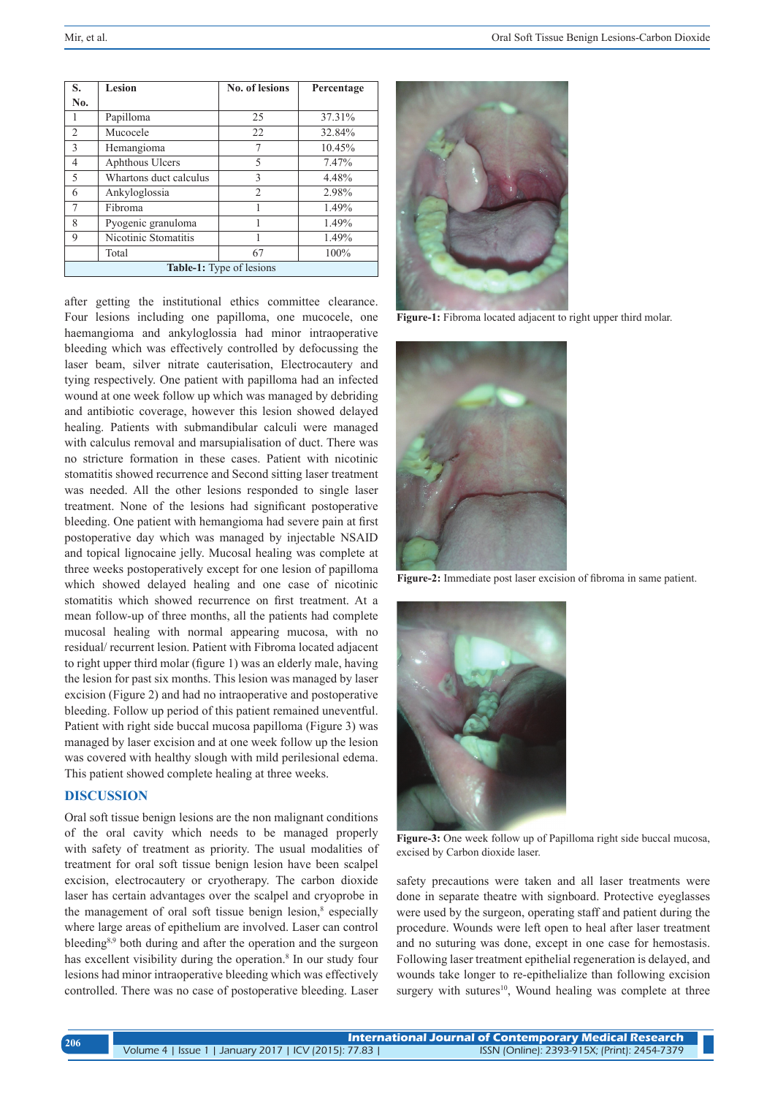| S.                              | Lesion                 | <b>No. of lesions</b> | Percentage |
|---------------------------------|------------------------|-----------------------|------------|
| No.                             |                        |                       |            |
|                                 | Papilloma              | 25                    | 37.31%     |
| 2                               | Mucocele               | 22                    | 32.84%     |
| 3                               | Hemangioma             | 7                     | 10.45%     |
| $\overline{4}$                  | Aphthous Ulcers        | 5                     | 7.47%      |
| $\overline{\phantom{0}}$        | Whartons duct calculus | 3                     | 4.48%      |
| 6                               | Ankyloglossia          | $\overline{c}$        | 2.98%      |
| 7                               | Fibroma                |                       | 1.49%      |
| 8                               | Pyogenic granuloma     |                       | 1.49%      |
| 9                               | Nicotinic Stomatitis   | 1                     | 1.49%      |
|                                 | Total                  | 67                    | 100%       |
| <b>Table-1:</b> Type of lesions |                        |                       |            |

after getting the institutional ethics committee clearance. Four lesions including one papilloma, one mucocele, one haemangioma and ankyloglossia had minor intraoperative bleeding which was effectively controlled by defocussing the laser beam, silver nitrate cauterisation, Electrocautery and tying respectively. One patient with papilloma had an infected wound at one week follow up which was managed by debriding and antibiotic coverage, however this lesion showed delayed healing. Patients with submandibular calculi were managed with calculus removal and marsupialisation of duct. There was no stricture formation in these cases. Patient with nicotinic stomatitis showed recurrence and Second sitting laser treatment was needed. All the other lesions responded to single laser treatment. None of the lesions had significant postoperative bleeding. One patient with hemangioma had severe pain at first postoperative day which was managed by injectable NSAID and topical lignocaine jelly. Mucosal healing was complete at three weeks postoperatively except for one lesion of papilloma which showed delayed healing and one case of nicotinic stomatitis which showed recurrence on first treatment. At a mean follow-up of three months, all the patients had complete mucosal healing with normal appearing mucosa, with no residual/ recurrent lesion. Patient with Fibroma located adjacent to right upper third molar (figure 1) was an elderly male, having the lesion for past six months. This lesion was managed by laser excision (Figure 2) and had no intraoperative and postoperative bleeding. Follow up period of this patient remained uneventful. Patient with right side buccal mucosa papilloma (Figure 3) was managed by laser excision and at one week follow up the lesion was covered with healthy slough with mild perilesional edema. This patient showed complete healing at three weeks.

## **DISCUSSION**

Oral soft tissue benign lesions are the non malignant conditions of the oral cavity which needs to be managed properly with safety of treatment as priority. The usual modalities of treatment for oral soft tissue benign lesion have been scalpel excision, electrocautery or cryotherapy. The carbon dioxide laser has certain advantages over the scalpel and cryoprobe in the management of oral soft tissue benign lesion,<sup>8</sup> especially where large areas of epithelium are involved. Laser can control bleeding<sup>8,9</sup> both during and after the operation and the surgeon has excellent visibility during the operation.<sup>8</sup> In our study four lesions had minor intraoperative bleeding which was effectively controlled. There was no case of postoperative bleeding. Laser



Figure-1: Fibroma located adjacent to right upper third molar.



**Figure-2:** Immediate post laser excision of fibroma in same patient.



**Figure-3:** One week follow up of Papilloma right side buccal mucosa, excised by Carbon dioxide laser.

safety precautions were taken and all laser treatments were done in separate theatre with signboard. Protective eyeglasses were used by the surgeon, operating staff and patient during the procedure. Wounds were left open to heal after laser treatment and no suturing was done, except in one case for hemostasis. Following laser treatment epithelial regeneration is delayed, and wounds take longer to re-epithelialize than following excision surgery with sutures<sup>10</sup>, Wound healing was complete at three